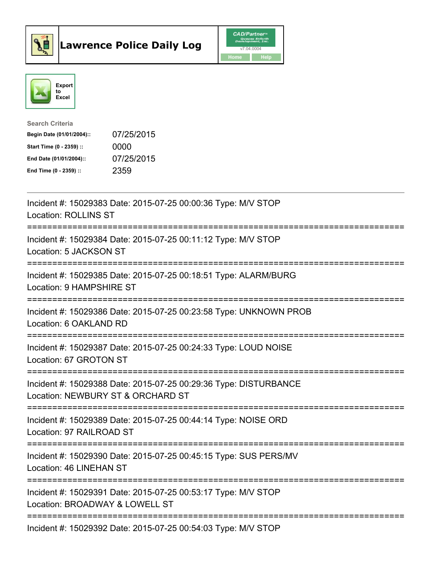



| <b>Search Criteria</b>    |            |
|---------------------------|------------|
| Begin Date (01/01/2004):: | 07/25/2015 |
| Start Time (0 - 2359) ::  | 0000       |
| End Date (01/01/2004)::   | 07/25/2015 |
| End Time $(0 - 2359)$ :   | 2359       |

| Incident #: 15029383 Date: 2015-07-25 00:00:36 Type: M/V STOP<br><b>Location: ROLLINS ST</b>                                        |
|-------------------------------------------------------------------------------------------------------------------------------------|
| Incident #: 15029384 Date: 2015-07-25 00:11:12 Type: M/V STOP<br>Location: 5 JACKSON ST<br>===============================          |
| Incident #: 15029385 Date: 2015-07-25 00:18:51 Type: ALARM/BURG<br>Location: 9 HAMPSHIRE ST                                         |
| Incident #: 15029386 Date: 2015-07-25 00:23:58 Type: UNKNOWN PROB<br>Location: 6 OAKLAND RD<br>==================================== |
| Incident #: 15029387 Date: 2015-07-25 00:24:33 Type: LOUD NOISE<br>Location: 67 GROTON ST<br>=====================================  |
| Incident #: 15029388 Date: 2015-07-25 00:29:36 Type: DISTURBANCE<br>Location: NEWBURY ST & ORCHARD ST                               |
| Incident #: 15029389 Date: 2015-07-25 00:44:14 Type: NOISE ORD<br>Location: 97 RAILROAD ST                                          |
| Incident #: 15029390 Date: 2015-07-25 00:45:15 Type: SUS PERS/MV<br>Location: 46 LINEHAN ST                                         |
| Incident #: 15029391 Date: 2015-07-25 00:53:17 Type: M/V STOP<br>Location: BROADWAY & LOWELL ST                                     |
| Incident #: 15029392 Date: 2015-07-25 00:54:03 Type: M/V STOP                                                                       |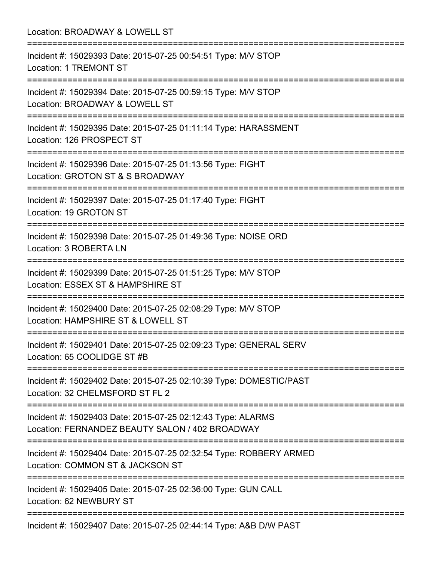Location: BROADWAY & LOWELL ST =========================================================================== Incident #: 15029393 Date: 2015-07-25 00:54:51 Type: M/V STOP Location: 1 TREMONT ST =========================================================================== Incident #: 15029394 Date: 2015-07-25 00:59:15 Type: M/V STOP Location: BROADWAY & LOWELL ST =========================================================================== Incident #: 15029395 Date: 2015-07-25 01:11:14 Type: HARASSMENT Location: 126 PROSPECT ST =========================================================================== Incident #: 15029396 Date: 2015-07-25 01:13:56 Type: FIGHT Location: GROTON ST & S BROADWAY =========================================================================== Incident #: 15029397 Date: 2015-07-25 01:17:40 Type: FIGHT Location: 19 GROTON ST =========================================================================== Incident #: 15029398 Date: 2015-07-25 01:49:36 Type: NOISE ORD Location: 3 ROBERTA LN =========================================================================== Incident #: 15029399 Date: 2015-07-25 01:51:25 Type: M/V STOP Location: ESSEX ST & HAMPSHIRE ST =========================================================================== Incident #: 15029400 Date: 2015-07-25 02:08:29 Type: M/V STOP Location: HAMPSHIRE ST & LOWELL ST =========================================================================== Incident #: 15029401 Date: 2015-07-25 02:09:23 Type: GENERAL SERV Location: 65 COOLIDGE ST #B =========================================================================== Incident #: 15029402 Date: 2015-07-25 02:10:39 Type: DOMESTIC/PAST Location: 32 CHELMSFORD ST FL 2 =========================================================================== Incident #: 15029403 Date: 2015-07-25 02:12:43 Type: ALARMS Location: FERNANDEZ BEAUTY SALON / 402 BROADWAY =========================================================================== Incident #: 15029404 Date: 2015-07-25 02:32:54 Type: ROBBERY ARMED Location: COMMON ST & JACKSON ST =========================================================================== Incident #: 15029405 Date: 2015-07-25 02:36:00 Type: GUN CALL Location: 62 NEWBURY ST =========================================================================== Incident #: 15029407 Date: 2015-07-25 02:44:14 Type: A&B D/W PAST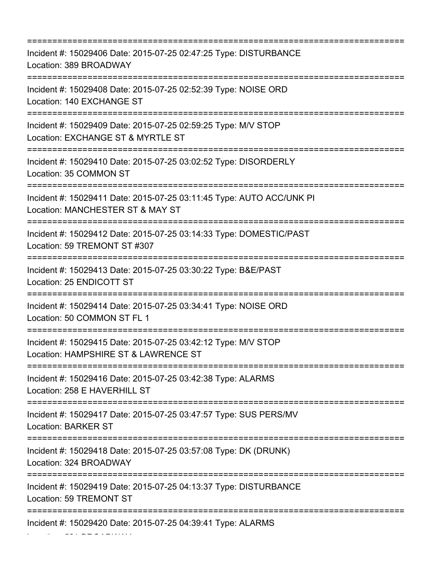| Incident #: 15029406 Date: 2015-07-25 02:47:25 Type: DISTURBANCE<br>Location: 389 BROADWAY                                  |
|-----------------------------------------------------------------------------------------------------------------------------|
| Incident #: 15029408 Date: 2015-07-25 02:52:39 Type: NOISE ORD<br>Location: 140 EXCHANGE ST                                 |
| Incident #: 15029409 Date: 2015-07-25 02:59:25 Type: M/V STOP<br>Location: EXCHANGE ST & MYRTLE ST<br>:==================== |
| Incident #: 15029410 Date: 2015-07-25 03:02:52 Type: DISORDERLY<br>Location: 35 COMMON ST                                   |
| Incident #: 15029411 Date: 2015-07-25 03:11:45 Type: AUTO ACC/UNK PI<br>Location: MANCHESTER ST & MAY ST                    |
| Incident #: 15029412 Date: 2015-07-25 03:14:33 Type: DOMESTIC/PAST<br>Location: 59 TREMONT ST #307                          |
| Incident #: 15029413 Date: 2015-07-25 03:30:22 Type: B&E/PAST<br>Location: 25 ENDICOTT ST                                   |
| Incident #: 15029414 Date: 2015-07-25 03:34:41 Type: NOISE ORD<br>Location: 50 COMMON ST FL 1                               |
| Incident #: 15029415 Date: 2015-07-25 03:42:12 Type: M/V STOP<br>Location: HAMPSHIRE ST & LAWRENCE ST                       |
| Incident #: 15029416 Date: 2015-07-25 03:42:38 Type: ALARMS<br>Location: 258 E HAVERHILL ST                                 |
| Incident #: 15029417 Date: 2015-07-25 03:47:57 Type: SUS PERS/MV<br><b>Location: BARKER ST</b>                              |
| Incident #: 15029418 Date: 2015-07-25 03:57:08 Type: DK (DRUNK)<br>Location: 324 BROADWAY                                   |
| Incident #: 15029419 Date: 2015-07-25 04:13:37 Type: DISTURBANCE<br>Location: 59 TREMONT ST                                 |
| Incident #: 15029420 Date: 2015-07-25 04:39:41 Type: ALARMS                                                                 |

Location: 521 BROADWAY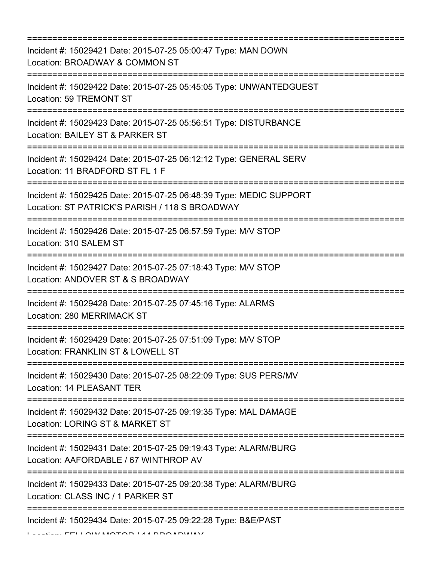=========================================================================== Incident #: 15029421 Date: 2015-07-25 05:00:47 Type: MAN DOWN Location: BROADWAY & COMMON ST =========================================================================== Incident #: 15029422 Date: 2015-07-25 05:45:05 Type: UNWANTEDGUEST Location: 59 TREMONT ST =========================================================================== Incident #: 15029423 Date: 2015-07-25 05:56:51 Type: DISTURBANCE Location: BAILEY ST & PARKER ST =========================================================================== Incident #: 15029424 Date: 2015-07-25 06:12:12 Type: GENERAL SERV Location: 11 BRADFORD ST FL 1 F =========================================================================== Incident #: 15029425 Date: 2015-07-25 06:48:39 Type: MEDIC SUPPORT Location: ST PATRICK'S PARISH / 118 S BROADWAY =========================================================================== Incident #: 15029426 Date: 2015-07-25 06:57:59 Type: M/V STOP Location: 310 SALEM ST =========================================================================== Incident #: 15029427 Date: 2015-07-25 07:18:43 Type: M/V STOP Location: ANDOVER ST & S BROADWAY =========================================================================== Incident #: 15029428 Date: 2015-07-25 07:45:16 Type: ALARMS Location: 280 MERRIMACK ST =========================================================================== Incident #: 15029429 Date: 2015-07-25 07:51:09 Type: M/V STOP Location: FRANKLIN ST & LOWELL ST =========================================================================== Incident #: 15029430 Date: 2015-07-25 08:22:09 Type: SUS PERS/MV Location: 14 PLEASANT TER =========================================================================== Incident #: 15029432 Date: 2015-07-25 09:19:35 Type: MAL DAMAGE Location: LORING ST & MARKET ST =========================================================================== Incident #: 15029431 Date: 2015-07-25 09:19:43 Type: ALARM/BURG Location: AAFORDABLE / 67 WINTHROP AV =========================================================================== Incident #: 15029433 Date: 2015-07-25 09:20:38 Type: ALARM/BURG Location: CLASS INC / 1 PARKER ST =========================================================================== Incident #: 15029434 Date: 2015-07-25 09:22:28 Type: B&E/PAST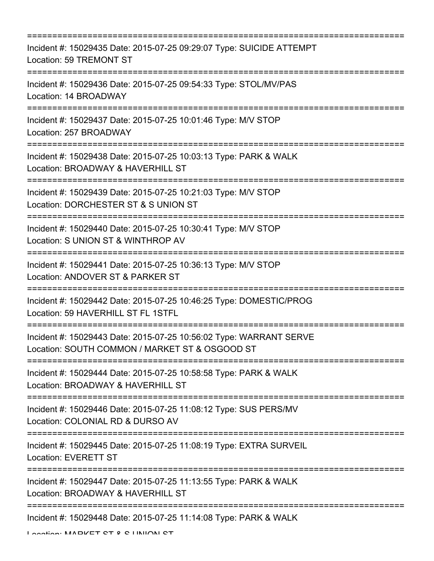| Incident #: 15029435 Date: 2015-07-25 09:29:07 Type: SUICIDE ATTEMPT<br>Location: 59 TREMONT ST                                         |
|-----------------------------------------------------------------------------------------------------------------------------------------|
| Incident #: 15029436 Date: 2015-07-25 09:54:33 Type: STOL/MV/PAS<br>Location: 14 BROADWAY<br>;============================              |
| Incident #: 15029437 Date: 2015-07-25 10:01:46 Type: M/V STOP<br>Location: 257 BROADWAY                                                 |
| Incident #: 15029438 Date: 2015-07-25 10:03:13 Type: PARK & WALK<br>Location: BROADWAY & HAVERHILL ST                                   |
| Incident #: 15029439 Date: 2015-07-25 10:21:03 Type: M/V STOP<br>Location: DORCHESTER ST & S UNION ST                                   |
| Incident #: 15029440 Date: 2015-07-25 10:30:41 Type: M/V STOP<br>Location: S UNION ST & WINTHROP AV<br>:=============================== |
| Incident #: 15029441 Date: 2015-07-25 10:36:13 Type: M/V STOP<br>Location: ANDOVER ST & PARKER ST                                       |
| Incident #: 15029442 Date: 2015-07-25 10:46:25 Type: DOMESTIC/PROG<br>Location: 59 HAVERHILL ST FL 1STFL                                |
| Incident #: 15029443 Date: 2015-07-25 10:56:02 Type: WARRANT SERVE<br>Location: SOUTH COMMON / MARKET ST & OSGOOD ST                    |
| Incident #: 15029444 Date: 2015-07-25 10:58:58 Type: PARK & WALK<br>Location: BROADWAY & HAVERHILL ST                                   |
| Incident #: 15029446 Date: 2015-07-25 11:08:12 Type: SUS PERS/MV<br>Location: COLONIAL RD & DURSO AV                                    |
| Incident #: 15029445 Date: 2015-07-25 11:08:19 Type: EXTRA SURVEIL<br><b>Location: EVERETT ST</b>                                       |
| Incident #: 15029447 Date: 2015-07-25 11:13:55 Type: PARK & WALK<br>Location: BROADWAY & HAVERHILL ST                                   |
| Incident #: 15029448 Date: 2015-07-25 11:14:08 Type: PARK & WALK                                                                        |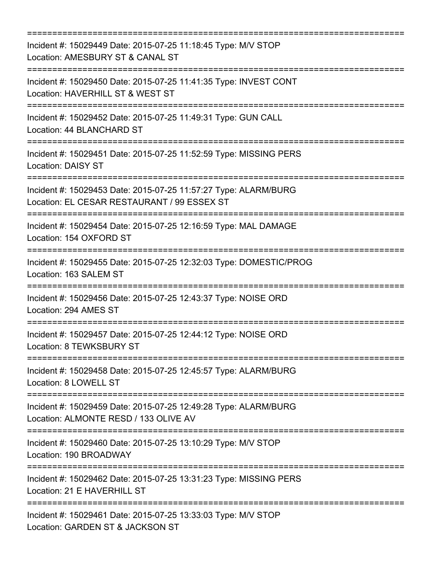| Incident #: 15029449 Date: 2015-07-25 11:18:45 Type: M/V STOP<br>Location: AMESBURY ST & CANAL ST                                                |
|--------------------------------------------------------------------------------------------------------------------------------------------------|
| Incident #: 15029450 Date: 2015-07-25 11:41:35 Type: INVEST CONT<br>Location: HAVERHILL ST & WEST ST<br>==========================               |
| Incident #: 15029452 Date: 2015-07-25 11:49:31 Type: GUN CALL<br>Location: 44 BLANCHARD ST                                                       |
| Incident #: 15029451 Date: 2015-07-25 11:52:59 Type: MISSING PERS<br><b>Location: DAISY ST</b>                                                   |
| Incident #: 15029453 Date: 2015-07-25 11:57:27 Type: ALARM/BURG<br>Location: EL CESAR RESTAURANT / 99 ESSEX ST<br>:============================= |
| Incident #: 15029454 Date: 2015-07-25 12:16:59 Type: MAL DAMAGE<br>Location: 154 OXFORD ST                                                       |
| Incident #: 15029455 Date: 2015-07-25 12:32:03 Type: DOMESTIC/PROG<br>Location: 163 SALEM ST                                                     |
| Incident #: 15029456 Date: 2015-07-25 12:43:37 Type: NOISE ORD<br>Location: 294 AMES ST                                                          |
| Incident #: 15029457 Date: 2015-07-25 12:44:12 Type: NOISE ORD<br>Location: 8 TEWKSBURY ST                                                       |
| Incident #: 15029458 Date: 2015-07-25 12:45:57 Type: ALARM/BURG<br>Location: 8 LOWELL ST                                                         |
| Incident #: 15029459 Date: 2015-07-25 12:49:28 Type: ALARM/BURG<br>Location: ALMONTE RESD / 133 OLIVE AV                                         |
| Incident #: 15029460 Date: 2015-07-25 13:10:29 Type: M/V STOP<br>Location: 190 BROADWAY                                                          |
| Incident #: 15029462 Date: 2015-07-25 13:31:23 Type: MISSING PERS<br>Location: 21 E HAVERHILL ST                                                 |
| Incident #: 15029461 Date: 2015-07-25 13:33:03 Type: M/V STOP<br>Location: GARDEN ST & JACKSON ST                                                |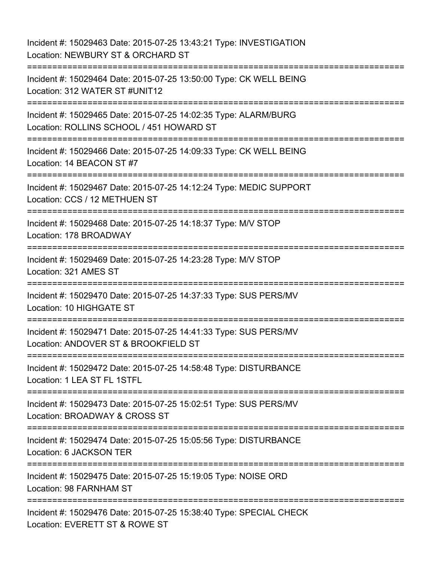Incident #: 15029463 Date: 2015-07-25 13:43:21 Type: INVESTIGATION Location: NEWBURY ST & ORCHARD ST =========================================================================== Incident #: 15029464 Date: 2015-07-25 13:50:00 Type: CK WELL BEING Location: 312 WATER ST #UNIT12 =========================================================================== Incident #: 15029465 Date: 2015-07-25 14:02:35 Type: ALARM/BURG Location: ROLLINS SCHOOL / 451 HOWARD ST =========================================================================== Incident #: 15029466 Date: 2015-07-25 14:09:33 Type: CK WELL BEING Location: 14 BEACON ST #7 =========================================================================== Incident #: 15029467 Date: 2015-07-25 14:12:24 Type: MEDIC SUPPORT Location: CCS / 12 METHUEN ST =========================================================================== Incident #: 15029468 Date: 2015-07-25 14:18:37 Type: M/V STOP Location: 178 BROADWAY =========================================================================== Incident #: 15029469 Date: 2015-07-25 14:23:28 Type: M/V STOP Location: 321 AMES ST =========================================================================== Incident #: 15029470 Date: 2015-07-25 14:37:33 Type: SUS PERS/MV Location: 10 HIGHGATE ST =========================================================================== Incident #: 15029471 Date: 2015-07-25 14:41:33 Type: SUS PERS/MV Location: ANDOVER ST & BROOKFIELD ST =========================================================================== Incident #: 15029472 Date: 2015-07-25 14:58:48 Type: DISTURBANCE Location: 1 LEA ST FL 1STFL =========================================================================== Incident #: 15029473 Date: 2015-07-25 15:02:51 Type: SUS PERS/MV Location: BROADWAY & CROSS ST =========================================================================== Incident #: 15029474 Date: 2015-07-25 15:05:56 Type: DISTURBANCE Location: 6 JACKSON TER =========================================================================== Incident #: 15029475 Date: 2015-07-25 15:19:05 Type: NOISE ORD Location: 98 FARNHAM ST =========================================================================== Incident #: 15029476 Date: 2015-07-25 15:38:40 Type: SPECIAL CHECK Location: EVERETT ST & ROWE ST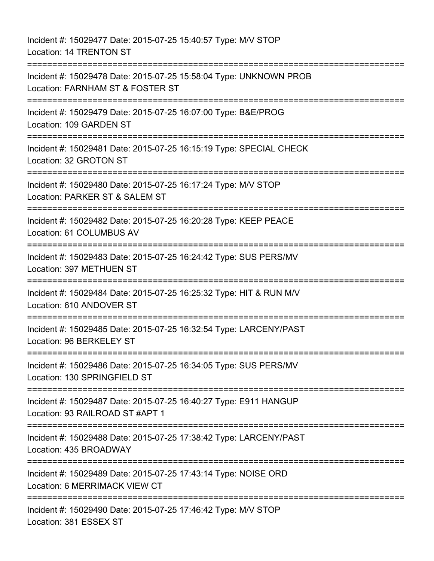Incident #: 15029477 Date: 2015-07-25 15:40:57 Type: M/V STOP Location: 14 TRENTON ST =========================================================================== Incident #: 15029478 Date: 2015-07-25 15:58:04 Type: UNKNOWN PROB Location: FARNHAM ST & FOSTER ST =========================================================================== Incident #: 15029479 Date: 2015-07-25 16:07:00 Type: B&E/PROG Location: 109 GARDEN ST =========================================================================== Incident #: 15029481 Date: 2015-07-25 16:15:19 Type: SPECIAL CHECK Location: 32 GROTON ST =========================================================================== Incident #: 15029480 Date: 2015-07-25 16:17:24 Type: M/V STOP Location: PARKER ST & SALEM ST =========================================================================== Incident #: 15029482 Date: 2015-07-25 16:20:28 Type: KEEP PEACE Location: 61 COLUMBUS AV =========================================================================== Incident #: 15029483 Date: 2015-07-25 16:24:42 Type: SUS PERS/MV Location: 397 METHUEN ST =========================================================================== Incident #: 15029484 Date: 2015-07-25 16:25:32 Type: HIT & RUN M/V Location: 610 ANDOVER ST =========================================================================== Incident #: 15029485 Date: 2015-07-25 16:32:54 Type: LARCENY/PAST Location: 96 BERKELEY ST =========================================================================== Incident #: 15029486 Date: 2015-07-25 16:34:05 Type: SUS PERS/MV Location: 130 SPRINGFIELD ST =========================================================================== Incident #: 15029487 Date: 2015-07-25 16:40:27 Type: E911 HANGUP Location: 93 RAILROAD ST #APT 1 =========================================================================== Incident #: 15029488 Date: 2015-07-25 17:38:42 Type: LARCENY/PAST Location: 435 BROADWAY =========================================================================== Incident #: 15029489 Date: 2015-07-25 17:43:14 Type: NOISE ORD Location: 6 MERRIMACK VIEW CT =========================================================================== Incident #: 15029490 Date: 2015-07-25 17:46:42 Type: M/V STOP Location: 381 ESSEX ST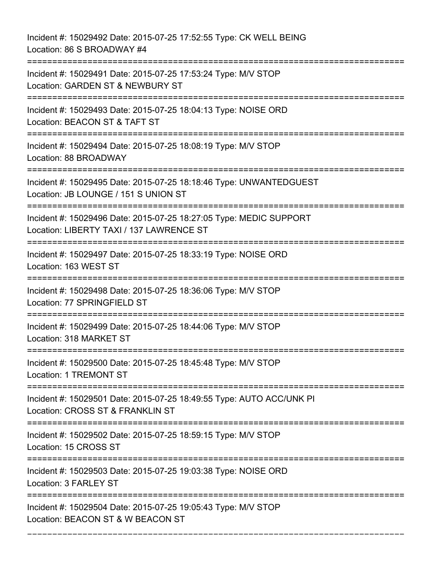Incident #: 15029492 Date: 2015-07-25 17:52:55 Type: CK WELL BEING Location: 86 S BROADWAY #4 =========================================================================== Incident #: 15029491 Date: 2015-07-25 17:53:24 Type: M/V STOP Location: GARDEN ST & NEWBURY ST =========================================================================== Incident #: 15029493 Date: 2015-07-25 18:04:13 Type: NOISE ORD Location: BEACON ST & TAFT ST =========================================================================== Incident #: 15029494 Date: 2015-07-25 18:08:19 Type: M/V STOP Location: 88 BROADWAY =========================================================================== Incident #: 15029495 Date: 2015-07-25 18:18:46 Type: UNWANTEDGUEST Location: JB LOUNGE / 151 S UNION ST =========================================================================== Incident #: 15029496 Date: 2015-07-25 18:27:05 Type: MEDIC SUPPORT Location: LIBERTY TAXI / 137 LAWRENCE ST =========================================================================== Incident #: 15029497 Date: 2015-07-25 18:33:19 Type: NOISE ORD Location: 163 WEST ST =========================================================================== Incident #: 15029498 Date: 2015-07-25 18:36:06 Type: M/V STOP Location: 77 SPRINGFIELD ST =========================================================================== Incident #: 15029499 Date: 2015-07-25 18:44:06 Type: M/V STOP Location: 318 MARKET ST =========================================================================== Incident #: 15029500 Date: 2015-07-25 18:45:48 Type: M/V STOP Location: 1 TREMONT ST =========================================================================== Incident #: 15029501 Date: 2015-07-25 18:49:55 Type: AUTO ACC/UNK PI Location: CROSS ST & FRANKLIN ST =========================================================================== Incident #: 15029502 Date: 2015-07-25 18:59:15 Type: M/V STOP Location: 15 CROSS ST =========================================================================== Incident #: 15029503 Date: 2015-07-25 19:03:38 Type: NOISE ORD Location: 3 FARLEY ST =========================================================================== Incident #: 15029504 Date: 2015-07-25 19:05:43 Type: M/V STOP Location: BEACON ST & W BEACON ST

===========================================================================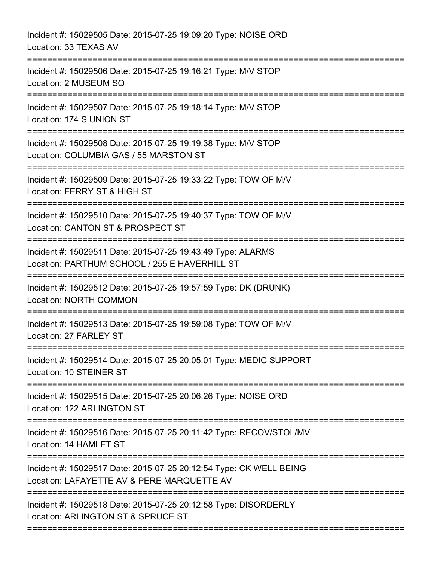| Incident #: 15029505 Date: 2015-07-25 19:09:20 Type: NOISE ORD<br>Location: 33 TEXAS AV                                     |
|-----------------------------------------------------------------------------------------------------------------------------|
| Incident #: 15029506 Date: 2015-07-25 19:16:21 Type: M/V STOP<br>Location: 2 MUSEUM SQ                                      |
| Incident #: 15029507 Date: 2015-07-25 19:18:14 Type: M/V STOP<br>Location: 174 S UNION ST                                   |
| Incident #: 15029508 Date: 2015-07-25 19:19:38 Type: M/V STOP<br>Location: COLUMBIA GAS / 55 MARSTON ST                     |
| Incident #: 15029509 Date: 2015-07-25 19:33:22 Type: TOW OF M/V<br>Location: FERRY ST & HIGH ST<br>=======================  |
| Incident #: 15029510 Date: 2015-07-25 19:40:37 Type: TOW OF M/V<br>Location: CANTON ST & PROSPECT ST                        |
| Incident #: 15029511 Date: 2015-07-25 19:43:49 Type: ALARMS<br>Location: PARTHUM SCHOOL / 255 E HAVERHILL ST                |
| Incident #: 15029512 Date: 2015-07-25 19:57:59 Type: DK (DRUNK)<br><b>Location: NORTH COMMON</b><br>======================= |
| Incident #: 15029513 Date: 2015-07-25 19:59:08 Type: TOW OF M/V<br>Location: 27 FARLEY ST                                   |
| Incident #: 15029514 Date: 2015-07-25 20:05:01 Type: MEDIC SUPPORT<br>Location: 10 STEINER ST                               |
| Incident #: 15029515 Date: 2015-07-25 20:06:26 Type: NOISE ORD<br>Location: 122 ARLINGTON ST                                |
| Incident #: 15029516 Date: 2015-07-25 20:11:42 Type: RECOV/STOL/MV<br>Location: 14 HAMLET ST                                |
| Incident #: 15029517 Date: 2015-07-25 20:12:54 Type: CK WELL BEING<br>Location: LAFAYETTE AV & PERE MARQUETTE AV            |
| Incident #: 15029518 Date: 2015-07-25 20:12:58 Type: DISORDERLY<br>Location: ARLINGTON ST & SPRUCE ST                       |
|                                                                                                                             |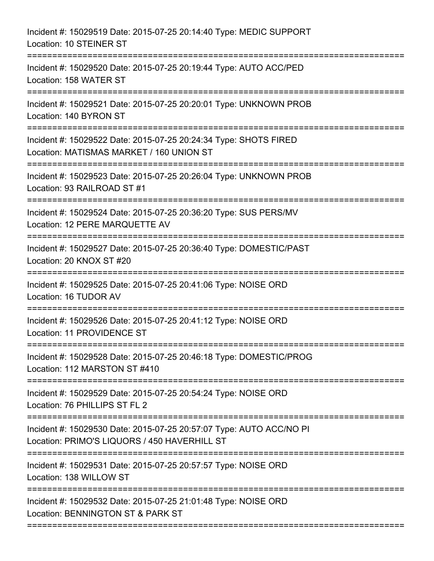| Incident #: 15029519 Date: 2015-07-25 20:14:40 Type: MEDIC SUPPORT<br>Location: 10 STEINER ST                       |
|---------------------------------------------------------------------------------------------------------------------|
| Incident #: 15029520 Date: 2015-07-25 20:19:44 Type: AUTO ACC/PED<br>Location: 158 WATER ST                         |
| Incident #: 15029521 Date: 2015-07-25 20:20:01 Type: UNKNOWN PROB<br>Location: 140 BYRON ST                         |
| Incident #: 15029522 Date: 2015-07-25 20:24:34 Type: SHOTS FIRED<br>Location: MATISMAS MARKET / 160 UNION ST        |
| Incident #: 15029523 Date: 2015-07-25 20:26:04 Type: UNKNOWN PROB<br>Location: 93 RAILROAD ST #1                    |
| Incident #: 15029524 Date: 2015-07-25 20:36:20 Type: SUS PERS/MV<br>Location: 12 PERE MARQUETTE AV                  |
| Incident #: 15029527 Date: 2015-07-25 20:36:40 Type: DOMESTIC/PAST<br>Location: 20 KNOX ST #20                      |
| Incident #: 15029525 Date: 2015-07-25 20:41:06 Type: NOISE ORD<br>Location: 16 TUDOR AV                             |
| Incident #: 15029526 Date: 2015-07-25 20:41:12 Type: NOISE ORD<br>Location: 11 PROVIDENCE ST                        |
| Incident #: 15029528 Date: 2015-07-25 20:46:18 Type: DOMESTIC/PROG<br>Location: 112 MARSTON ST #410                 |
| Incident #: 15029529 Date: 2015-07-25 20:54:24 Type: NOISE ORD<br>Location: 76 PHILLIPS ST FL 2                     |
| Incident #: 15029530 Date: 2015-07-25 20:57:07 Type: AUTO ACC/NO PI<br>Location: PRIMO'S LIQUORS / 450 HAVERHILL ST |
| Incident #: 15029531 Date: 2015-07-25 20:57:57 Type: NOISE ORD<br>Location: 138 WILLOW ST                           |
| Incident #: 15029532 Date: 2015-07-25 21:01:48 Type: NOISE ORD<br>Location: BENNINGTON ST & PARK ST                 |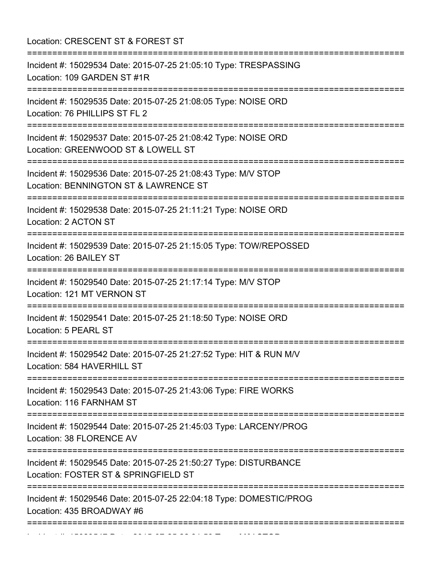Location: CRESCENT ST & FOREST ST =========================================================================== Incident #: 15029534 Date: 2015-07-25 21:05:10 Type: TRESPASSING Location: 109 GARDEN ST #1R =========================================================================== Incident #: 15029535 Date: 2015-07-25 21:08:05 Type: NOISE ORD Location: 76 PHILLIPS ST FL 2 =========================================================================== Incident #: 15029537 Date: 2015-07-25 21:08:42 Type: NOISE ORD Location: GREENWOOD ST & LOWELL ST =========================================================================== Incident #: 15029536 Date: 2015-07-25 21:08:43 Type: M/V STOP Location: BENNINGTON ST & LAWRENCE ST =========================================================================== Incident #: 15029538 Date: 2015-07-25 21:11:21 Type: NOISE ORD Location: 2 ACTON ST =========================================================================== Incident #: 15029539 Date: 2015-07-25 21:15:05 Type: TOW/REPOSSED Location: 26 BAILEY ST =========================================================================== Incident #: 15029540 Date: 2015-07-25 21:17:14 Type: M/V STOP Location: 121 MT VERNON ST =========================================================================== Incident #: 15029541 Date: 2015-07-25 21:18:50 Type: NOISE ORD Location: 5 PEARL ST =========================================================================== Incident #: 15029542 Date: 2015-07-25 21:27:52 Type: HIT & RUN M/V Location: 584 HAVERHILL ST =========================================================================== Incident #: 15029543 Date: 2015-07-25 21:43:06 Type: FIRE WORKS Location: 116 FARNHAM ST =========================================================================== Incident #: 15029544 Date: 2015-07-25 21:45:03 Type: LARCENY/PROG Location: 38 FLORENCE AV =========================================================================== Incident #: 15029545 Date: 2015-07-25 21:50:27 Type: DISTURBANCE Location: FOSTER ST & SPRINGFIELD ST =========================================================================== Incident #: 15029546 Date: 2015-07-25 22:04:18 Type: DOMESTIC/PROG Location: 435 BROADWAY #6 ===========================================================================

Incident #: 15029547 Date: 2015 07 25 22:31:50 Type: M/V STOP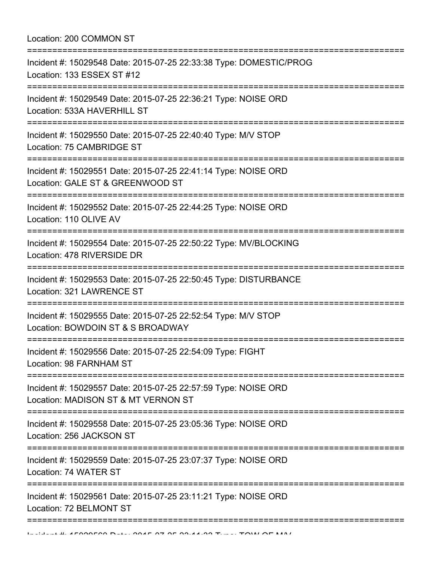| Location: 200 COMMON ST                                                                               |
|-------------------------------------------------------------------------------------------------------|
| Incident #: 15029548 Date: 2015-07-25 22:33:38 Type: DOMESTIC/PROG<br>Location: 133 ESSEX ST #12      |
| Incident #: 15029549 Date: 2015-07-25 22:36:21 Type: NOISE ORD<br>Location: 533A HAVERHILL ST         |
| Incident #: 15029550 Date: 2015-07-25 22:40:40 Type: M/V STOP<br>Location: 75 CAMBRIDGE ST            |
| Incident #: 15029551 Date: 2015-07-25 22:41:14 Type: NOISE ORD<br>Location: GALE ST & GREENWOOD ST    |
| Incident #: 15029552 Date: 2015-07-25 22:44:25 Type: NOISE ORD<br>Location: 110 OLIVE AV              |
| Incident #: 15029554 Date: 2015-07-25 22:50:22 Type: MV/BLOCKING<br>Location: 478 RIVERSIDE DR        |
| Incident #: 15029553 Date: 2015-07-25 22:50:45 Type: DISTURBANCE<br>Location: 321 LAWRENCE ST         |
| Incident #: 15029555 Date: 2015-07-25 22:52:54 Type: M/V STOP<br>Location: BOWDOIN ST & S BROADWAY    |
| Incident #: 15029556 Date: 2015-07-25 22:54:09 Type: FIGHT<br>Location: 98 FARNHAM ST                 |
| Incident #: 15029557 Date: 2015-07-25 22:57:59 Type: NOISE ORD<br>Location: MADISON ST & MT VERNON ST |
| Incident #: 15029558 Date: 2015-07-25 23:05:36 Type: NOISE ORD<br>Location: 256 JACKSON ST            |
| Incident #: 15029559 Date: 2015-07-25 23:07:37 Type: NOISE ORD<br>Location: 74 WATER ST               |
| Incident #: 15029561 Date: 2015-07-25 23:11:21 Type: NOISE ORD<br>Location: 72 BELMONT ST             |
|                                                                                                       |